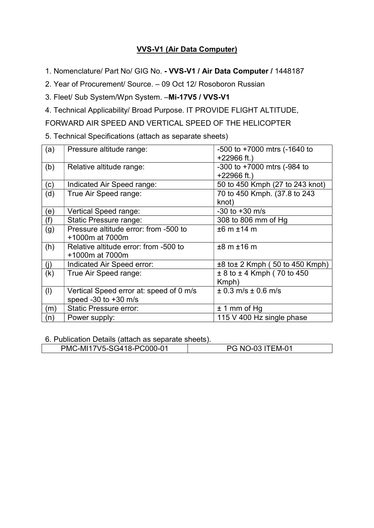## VVS-V1 (Air Data Computer)

1. Nomenclature/ Part No/ GIG No. - VVS-V1 / Air Data Computer / 1448187

2. Year of Procurement/ Source. – 09 Oct 12/ Rosoboron Russian

3. Fleet/ Sub System/Wpn System. –Mi-17V5 / VVS-V1

4. Technical Applicability/ Broad Purpose. IT PROVIDE FLIGHT ALTITUDE,

FORWARD AIR SPEED AND VERTICAL SPEED OF THE HELICOPTER

5. Technical Specifications (attach as separate sheets)

| (a) | Pressure altitude range:                                          | $-500$ to $+7000$ mtrs ( $-1640$ to<br>$+22966$ ft.) |
|-----|-------------------------------------------------------------------|------------------------------------------------------|
| (b) | Relative altitude range:                                          | $-300$ to $+7000$ mtrs ( $-984$ to<br>$+22966$ ft.)  |
| (c) | Indicated Air Speed range:                                        | 50 to 450 Kmph (27 to 243 knot)                      |
| (d) | True Air Speed range:                                             | 70 to 450 Kmph. (37.8 to 243<br>knot)                |
| (e) | Vertical Speed range:                                             | $-30$ to $+30$ m/s                                   |
| (f) | Static Pressure range:                                            | 308 to 806 mm of Hg                                  |
| (g) | Pressure altitude error: from -500 to<br>+1000m at 7000m          | ±6 m ±14 m                                           |
| (h) | Relative altitude error: from -500 to<br>+1000m at 7000m          | $±8$ m $±16$ m                                       |
| (j) | Indicated Air Speed error:                                        | $\pm 8$ to $\pm 2$ Kmph (50 to 450 Kmph)             |
| (k) | True Air Speed range:                                             | $± 8$ to $± 4$ Kmph (70 to 450<br>Kmph)              |
| (1) | Vertical Speed error at: speed of 0 m/s<br>speed -30 to $+30$ m/s | $± 0.3$ m/s $± 0.6$ m/s                              |
| (m) | <b>Static Pressure error:</b>                                     | $± 1$ mm of Hg                                       |
| (n) | Power supply:                                                     | 115 V 400 Hz single phase                            |

6. Publication Details (attach as separate sheets).

| PMC-MI17V5-SG418-PC000-01 | -03 ITEM-01<br>$\overline{M}$<br>. <del>.</del> |  |
|---------------------------|-------------------------------------------------|--|
|                           |                                                 |  |